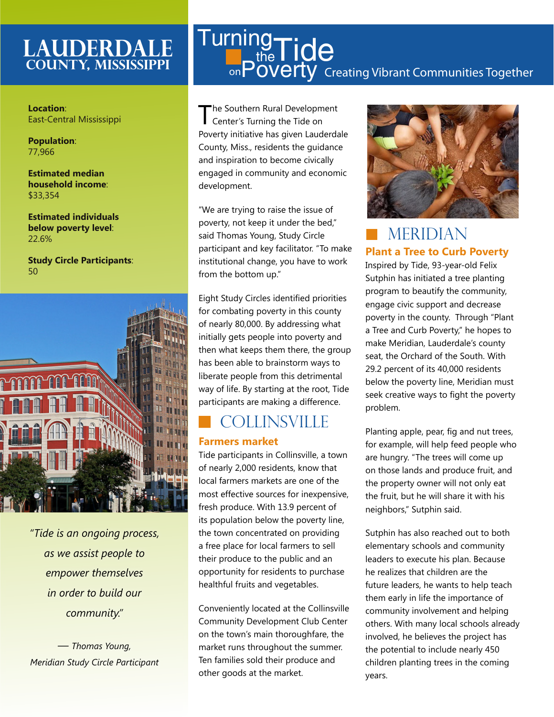## **Lauderdale County, MISSISSIPPI**

**Location**: East-Central Mississippi

**Population**: 77,966

**Estimated median household income**: \$33,354

**Estimated individuals below poverty level**: 22.6%

**Study Circle Participants**: 50



*"Tide is an ongoing process, as we assist people to empower themselves in order to build our community."* 

*— Thomas Young, Meridian Study Circle Participant*

## Creating Vibrant Communities Together **Turning**  $t_{\text{the}}^{\text{19}}$ Tide <sub>on</sub>Poverty

The Southern Rural Development Center's Turning the Tide on Poverty initiative has given Lauderdale County, Miss., residents the guidance and inspiration to become civically engaged in community and economic development.

"We are trying to raise the issue of poverty, not keep it under the bed," said Thomas Young, Study Circle participant and key facilitator. "To make institutional change, you have to work from the bottom up."

Eight Study Circles identified priorities for combating poverty in this county of nearly 80,000. By addressing what initially gets people into poverty and then what keeps them there, the group has been able to brainstorm ways to liberate people from this detrimental way of life. By starting at the root, Tide participants are making a difference.

# **COLLINSVILLE**

#### **Farmers market**

Tide participants in Collinsville, a town of nearly 2,000 residents, know that local farmers markets are one of the most effective sources for inexpensive, fresh produce. With 13.9 percent of its population below the poverty line, the town concentrated on providing a free place for local farmers to sell their produce to the public and an opportunity for residents to purchase healthful fruits and vegetables.

Conveniently located at the Collinsville Community Development Club Center on the town's main thoroughfare, the market runs throughout the summer. Ten families sold their produce and other goods at the market.



## **Plant a Tree to Curb Poverty MERIDIAN**

Inspired by Tide, 93-year-old Felix Sutphin has initiated a tree planting program to beautify the community, engage civic support and decrease poverty in the county. Through "Plant a Tree and Curb Poverty," he hopes to make Meridian, Lauderdale's county seat, the Orchard of the South. With 29.2 percent of its 40,000 residents below the poverty line, Meridian must seek creative ways to fight the poverty problem.

Planting apple, pear, fig and nut trees, for example, will help feed people who are hungry. "The trees will come up on those lands and produce fruit, and the property owner will not only eat the fruit, but he will share it with his neighbors," Sutphin said.

Sutphin has also reached out to both elementary schools and community leaders to execute his plan. Because he realizes that children are the future leaders, he wants to help teach them early in life the importance of community involvement and helping others. With many local schools already involved, he believes the project has the potential to include nearly 450 children planting trees in the coming years.